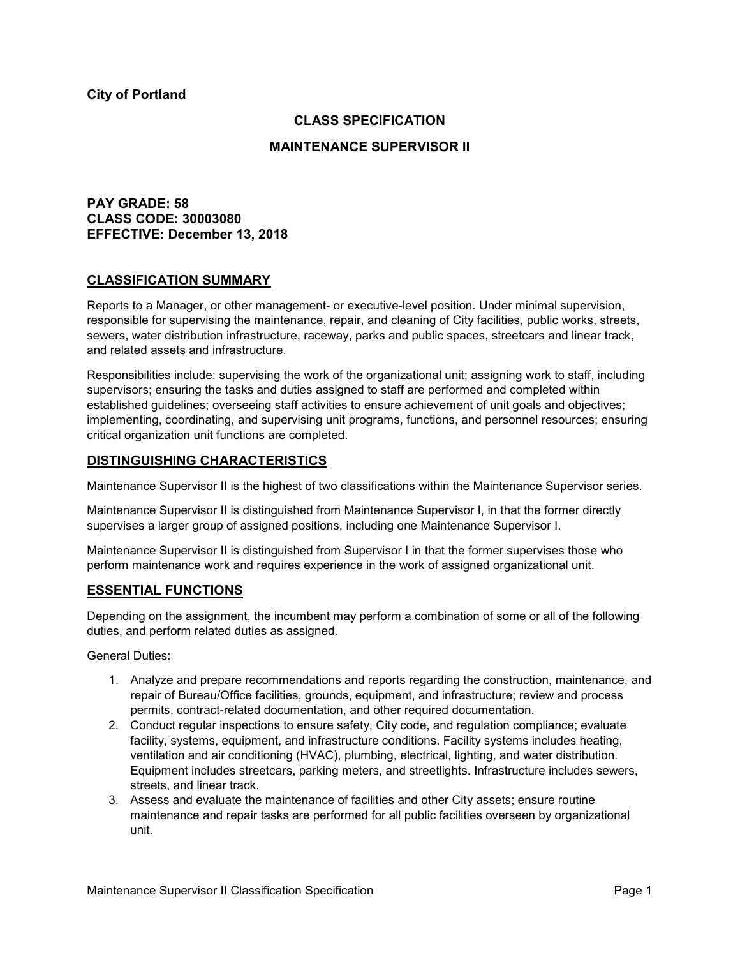## **CLASS SPECIFICATION**

#### **MAINTENANCE SUPERVISOR II**

## **PAY GRADE: 58 CLASS CODE: 30003080 EFFECTIVE: December 13, 2018**

#### **CLASSIFICATION SUMMARY**

Reports to a Manager, or other management- or executive-level position. Under minimal supervision, responsible for supervising the maintenance, repair, and cleaning of City facilities, public works, streets, sewers, water distribution infrastructure, raceway, parks and public spaces, streetcars and linear track, and related assets and infrastructure.

Responsibilities include: supervising the work of the organizational unit; assigning work to staff, including supervisors; ensuring the tasks and duties assigned to staff are performed and completed within established guidelines; overseeing staff activities to ensure achievement of unit goals and objectives; implementing, coordinating, and supervising unit programs, functions, and personnel resources; ensuring critical organization unit functions are completed.

## **DISTINGUISHING CHARACTERISTICS**

Maintenance Supervisor II is the highest of two classifications within the Maintenance Supervisor series.

Maintenance Supervisor II is distinguished from Maintenance Supervisor I, in that the former directly supervises a larger group of assigned positions, including one Maintenance Supervisor I.

Maintenance Supervisor II is distinguished from Supervisor I in that the former supervises those who perform maintenance work and requires experience in the work of assigned organizational unit.

## **ESSENTIAL FUNCTIONS**

Depending on the assignment, the incumbent may perform a combination of some or all of the following duties, and perform related duties as assigned.

General Duties:

- 1. Analyze and prepare recommendations and reports regarding the construction, maintenance, and repair of Bureau/Office facilities, grounds, equipment, and infrastructure; review and process permits, contract-related documentation, and other required documentation.
- 2. Conduct regular inspections to ensure safety, City code, and regulation compliance; evaluate facility, systems, equipment, and infrastructure conditions. Facility systems includes heating, ventilation and air conditioning (HVAC), plumbing, electrical, lighting, and water distribution. Equipment includes streetcars, parking meters, and streetlights. Infrastructure includes sewers, streets, and linear track.
- 3. Assess and evaluate the maintenance of facilities and other City assets; ensure routine maintenance and repair tasks are performed for all public facilities overseen by organizational unit.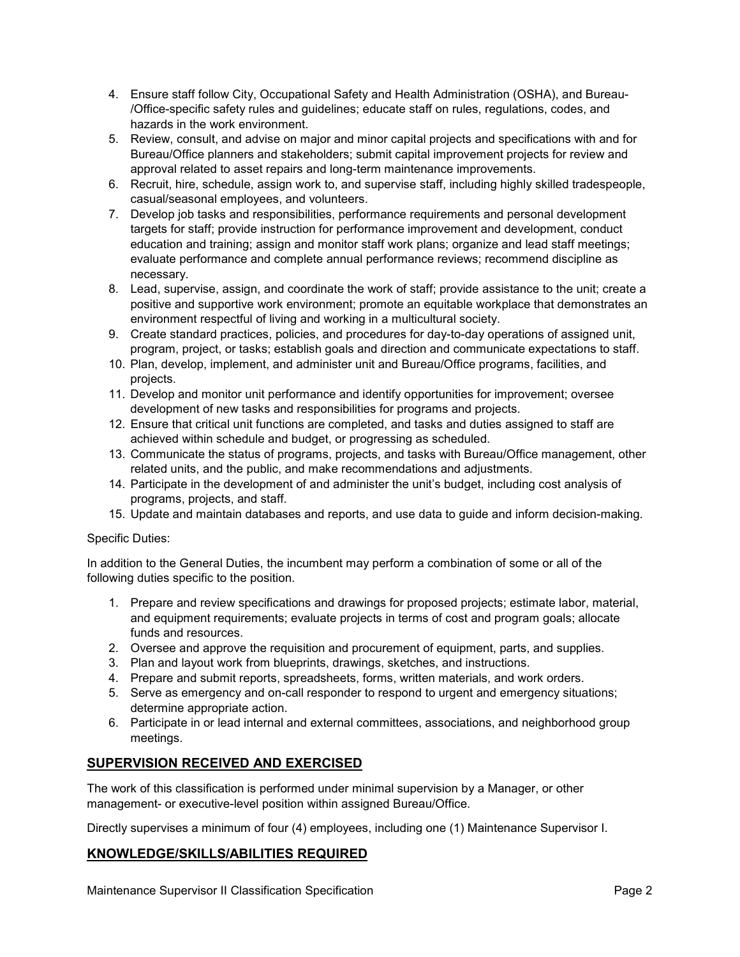- 4. Ensure staff follow City, Occupational Safety and Health Administration (OSHA), and Bureau- /Office-specific safety rules and guidelines; educate staff on rules, regulations, codes, and hazards in the work environment.
- 5. Review, consult, and advise on major and minor capital projects and specifications with and for Bureau/Office planners and stakeholders; submit capital improvement projects for review and approval related to asset repairs and long-term maintenance improvements.
- 6. Recruit, hire, schedule, assign work to, and supervise staff, including highly skilled tradespeople, casual/seasonal employees, and volunteers.
- 7. Develop job tasks and responsibilities, performance requirements and personal development targets for staff; provide instruction for performance improvement and development, conduct education and training; assign and monitor staff work plans; organize and lead staff meetings; evaluate performance and complete annual performance reviews; recommend discipline as necessary.
- 8. Lead, supervise, assign, and coordinate the work of staff; provide assistance to the unit; create a positive and supportive work environment; promote an equitable workplace that demonstrates an environment respectful of living and working in a multicultural society.
- 9. Create standard practices, policies, and procedures for day-to-day operations of assigned unit, program, project, or tasks; establish goals and direction and communicate expectations to staff.
- 10. Plan, develop, implement, and administer unit and Bureau/Office programs, facilities, and projects.
- 11. Develop and monitor unit performance and identify opportunities for improvement; oversee development of new tasks and responsibilities for programs and projects.
- 12. Ensure that critical unit functions are completed, and tasks and duties assigned to staff are achieved within schedule and budget, or progressing as scheduled.
- 13. Communicate the status of programs, projects, and tasks with Bureau/Office management, other related units, and the public, and make recommendations and adjustments.
- 14. Participate in the development of and administer the unit's budget, including cost analysis of programs, projects, and staff.
- 15. Update and maintain databases and reports, and use data to guide and inform decision-making.

## Specific Duties:

In addition to the General Duties, the incumbent may perform a combination of some or all of the following duties specific to the position.

- 1. Prepare and review specifications and drawings for proposed projects; estimate labor, material, and equipment requirements; evaluate projects in terms of cost and program goals; allocate funds and resources.
- 2. Oversee and approve the requisition and procurement of equipment, parts, and supplies.
- 3. Plan and layout work from blueprints, drawings, sketches, and instructions.
- 4. Prepare and submit reports, spreadsheets, forms, written materials, and work orders.
- 5. Serve as emergency and on-call responder to respond to urgent and emergency situations; determine appropriate action.
- 6. Participate in or lead internal and external committees, associations, and neighborhood group meetings.

# **SUPERVISION RECEIVED AND EXERCISED**

The work of this classification is performed under minimal supervision by a Manager, or other management- or executive-level position within assigned Bureau/Office.

Directly supervises a minimum of four (4) employees, including one (1) Maintenance Supervisor I.

# **KNOWLEDGE/SKILLS/ABILITIES REQUIRED**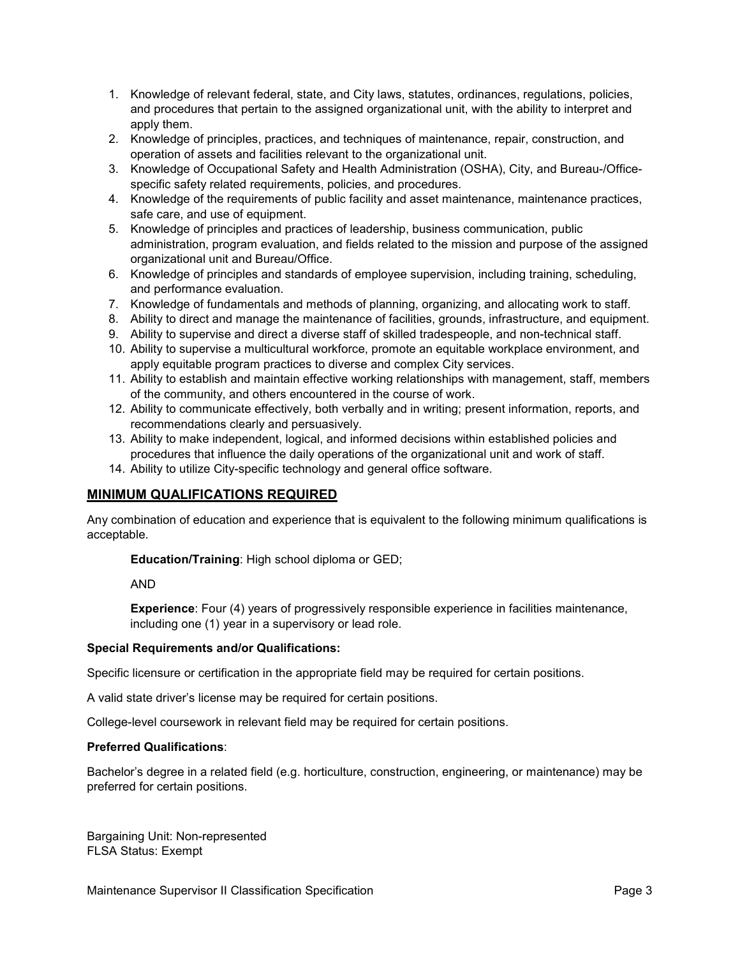- 1. Knowledge of relevant federal, state, and City laws, statutes, ordinances, regulations, policies, and procedures that pertain to the assigned organizational unit, with the ability to interpret and apply them.
- 2. Knowledge of principles, practices, and techniques of maintenance, repair, construction, and operation of assets and facilities relevant to the organizational unit.
- 3. Knowledge of Occupational Safety and Health Administration (OSHA), City, and Bureau-/Officespecific safety related requirements, policies, and procedures.
- 4. Knowledge of the requirements of public facility and asset maintenance, maintenance practices, safe care, and use of equipment.
- 5. Knowledge of principles and practices of leadership, business communication, public administration, program evaluation, and fields related to the mission and purpose of the assigned organizational unit and Bureau/Office.
- 6. Knowledge of principles and standards of employee supervision, including training, scheduling, and performance evaluation.
- 7. Knowledge of fundamentals and methods of planning, organizing, and allocating work to staff.
- 8. Ability to direct and manage the maintenance of facilities, grounds, infrastructure, and equipment.
- 9. Ability to supervise and direct a diverse staff of skilled tradespeople, and non-technical staff.
- 10. Ability to supervise a multicultural workforce, promote an equitable workplace environment, and apply equitable program practices to diverse and complex City services.
- 11. Ability to establish and maintain effective working relationships with management, staff, members of the community, and others encountered in the course of work.
- 12. Ability to communicate effectively, both verbally and in writing; present information, reports, and recommendations clearly and persuasively.
- 13. Ability to make independent, logical, and informed decisions within established policies and procedures that influence the daily operations of the organizational unit and work of staff.
- 14. Ability to utilize City-specific technology and general office software.

## **MINIMUM QUALIFICATIONS REQUIRED**

Any combination of education and experience that is equivalent to the following minimum qualifications is acceptable.

**Education/Training**: High school diploma or GED;

AND

**Experience**: Four (4) years of progressively responsible experience in facilities maintenance, including one (1) year in a supervisory or lead role.

#### **Special Requirements and/or Qualifications:**

Specific licensure or certification in the appropriate field may be required for certain positions.

A valid state driver's license may be required for certain positions.

College-level coursework in relevant field may be required for certain positions.

#### **Preferred Qualifications**:

Bachelor's degree in a related field (e.g. horticulture, construction, engineering, or maintenance) may be preferred for certain positions.

Bargaining Unit: Non-represented FLSA Status: Exempt